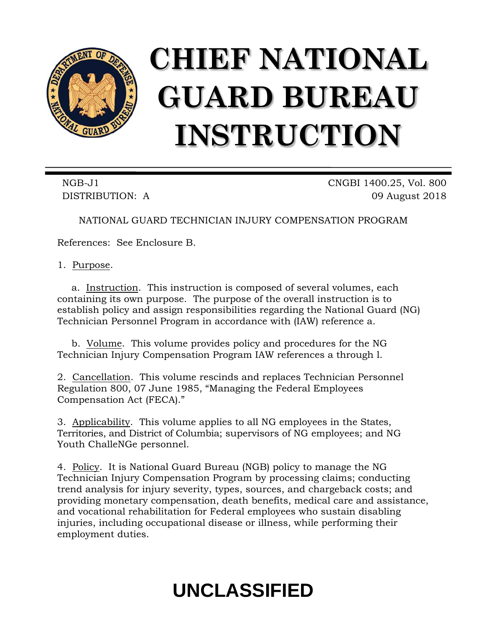

# **CHIEF NATIONAL GUARD BUREAU INSTRUCTION**

NGB-J1 CNGBI 1400.25, Vol. 800 DISTRIBUTION: A 09 August 2018

NATIONAL GUARD TECHNICIAN INJURY COMPENSATION PROGRAM

References: See Enclosure B.

1. Purpose.

a. Instruction. This instruction is composed of several volumes, each containing its own purpose. The purpose of the overall instruction is to establish policy and assign responsibilities regarding the National Guard (NG) Technician Personnel Program in accordance with (IAW) reference a.

b. Volume. This volume provides policy and procedures for the NG Technician Injury Compensation Program IAW references a through l.

2. Cancellation. This volume rescinds and replaces Technician Personnel Regulation 800, 07 June 1985, "Managing the Federal Employees Compensation Act (FECA)."

3. Applicability. This volume applies to all NG employees in the States, Territories, and District of Columbia; supervisors of NG employees; and NG Youth ChalleNGe personnel.

4. Policy. It is National Guard Bureau (NGB) policy to manage the NG Technician Injury Compensation Program by processing claims; conducting trend analysis for injury severity, types, sources, and chargeback costs; and providing monetary compensation, death benefits, medical care and assistance, and vocational rehabilitation for Federal employees who sustain disabling injuries, including occupational disease or illness, while performing their employment duties.

# **UNCLASSIFIED**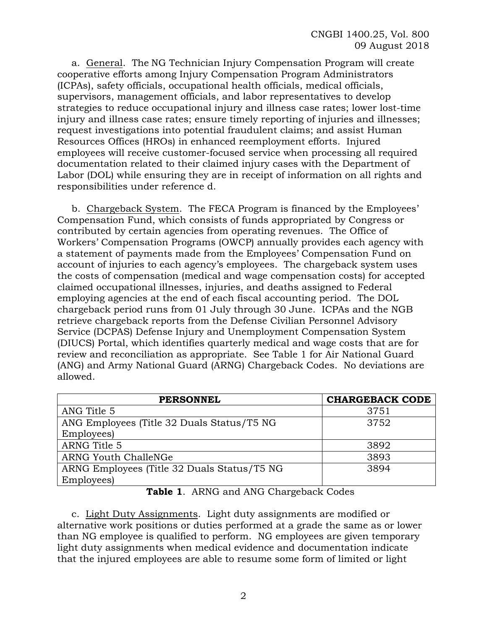a. General. The NG Technician Injury Compensation Program will create cooperative efforts among Injury Compensation Program Administrators (ICPAs), safety officials, occupational health officials, medical officials, supervisors, management officials, and labor representatives to develop strategies to reduce occupational injury and illness case rates; lower lost-time injury and illness case rates; ensure timely reporting of injuries and illnesses; request investigations into potential fraudulent claims; and assist Human Resources Offices (HROs) in enhanced reemployment efforts. Injured employees will receive customer-focused service when processing all required documentation related to their claimed injury cases with the Department of Labor (DOL) while ensuring they are in receipt of information on all rights and responsibilities under reference d.

b. Chargeback System. The FECA Program is financed by the Employees' Compensation Fund, which consists of funds appropriated by Congress or contributed by certain agencies from operating revenues. The Office of Workers' Compensation Programs (OWCP) annually provides each agency with a statement of payments made from the Employees' Compensation Fund on account of injuries to each agency's employees. The chargeback system uses the costs of compensation (medical and wage compensation costs) for accepted claimed occupational illnesses, injuries, and deaths assigned to Federal employing agencies at the end of each fiscal accounting period. The DOL chargeback period runs from 01 July through 30 June. ICPAs and the NGB retrieve chargeback reports from the Defense Civilian Personnel Advisory Service (DCPAS) Defense Injury and Unemployment Compensation System (DIUCS) Portal, which identifies quarterly medical and wage costs that are for review and reconciliation as appropriate. See Table 1 for Air National Guard (ANG) and Army National Guard (ARNG) Chargeback Codes. No deviations are allowed.

| <b>PERSONNEL</b>                            | <b>CHARGEBACK CODE</b> |
|---------------------------------------------|------------------------|
| ANG Title 5                                 | 3751                   |
| ANG Employees (Title 32 Duals Status/T5 NG  | 3752                   |
| Employees)                                  |                        |
| ARNG Title 5                                | 3892                   |
| <b>ARNG Youth ChalleNGe</b>                 | 3893                   |
| ARNG Employees (Title 32 Duals Status/T5 NG | 3894                   |
| Employees)                                  |                        |

#### **Table 1**. ARNG and ANG Chargeback Codes

c. Light Duty Assignments. Light duty assignments are modified or alternative work positions or duties performed at a grade the same as or lower than NG employee is qualified to perform. NG employees are given temporary light duty assignments when medical evidence and documentation indicate that the injured employees are able to resume some form of limited or light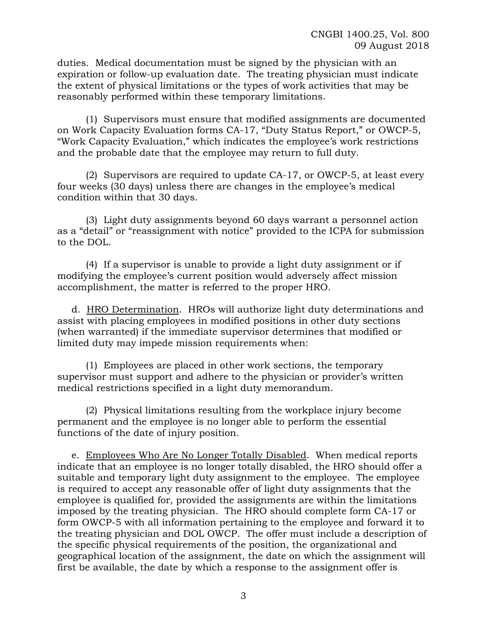duties. Medical documentation must be signed by the physician with an expiration or follow-up evaluation date. The treating physician must indicate the extent of physical limitations or the types of work activities that may be reasonably performed within these temporary limitations.

(1) Supervisors must ensure that modified assignments are documented on Work Capacity Evaluation forms CA-17, "Duty Status Report," or OWCP-5, "Work Capacity Evaluation," which indicates the employee's work restrictions and the probable date that the employee may return to full duty.

(2) Supervisors are required to update CA-17, or OWCP-5, at least every four weeks (30 days) unless there are changes in the employee's medical condition within that 30 days.

(3) Light duty assignments beyond 60 days warrant a personnel action as a "detail" or "reassignment with notice" provided to the ICPA for submission to the DOL.

(4) If a supervisor is unable to provide a light duty assignment or if modifying the employee's current position would adversely affect mission accomplishment, the matter is referred to the proper HRO.

d. HRO Determination. HROs will authorize light duty determinations and assist with placing employees in modified positions in other duty sections (when warranted) if the immediate supervisor determines that modified or limited duty may impede mission requirements when:

(1) Employees are placed in other work sections, the temporary supervisor must support and adhere to the physician or provider's written medical restrictions specified in a light duty memorandum.

(2) Physical limitations resulting from the workplace injury become permanent and the employee is no longer able to perform the essential functions of the date of injury position.

e. Employees Who Are No Longer Totally Disabled. When medical reports indicate that an employee is no longer totally disabled, the HRO should offer a suitable and temporary light duty assignment to the employee. The employee is required to accept any reasonable offer of light duty assignments that the employee is qualified for, provided the assignments are within the limitations imposed by the treating physician. The HRO should complete form CA-17 or form OWCP-5 with all information pertaining to the employee and forward it to the treating physician and DOL OWCP. The offer must include a description of the specific physical requirements of the position, the organizational and geographical location of the assignment, the date on which the assignment will first be available, the date by which a response to the assignment offer is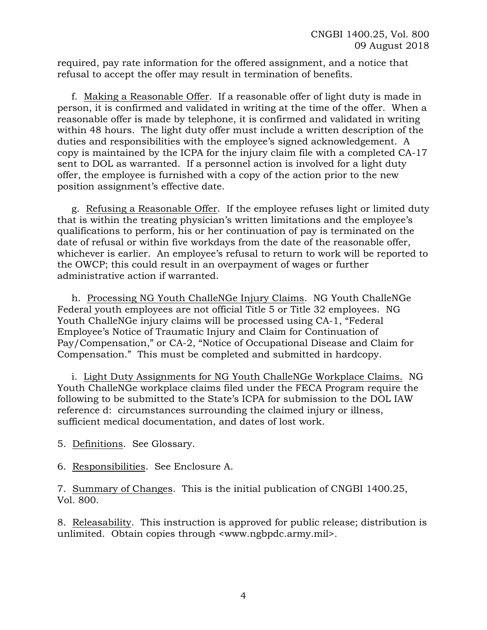required, pay rate information for the offered assignment, and a notice that refusal to accept the offer may result in termination of benefits.

f. Making a Reasonable Offer. If a reasonable offer of light duty is made in person, it is confirmed and validated in writing at the time of the offer. When a reasonable offer is made by telephone, it is confirmed and validated in writing within 48 hours. The light duty offer must include a written description of the duties and responsibilities with the employee's signed acknowledgement. A copy is maintained by the ICPA for the injury claim file with a completed CA-17 sent to DOL as warranted. If a personnel action is involved for a light duty offer, the employee is furnished with a copy of the action prior to the new position assignment's effective date.

g. Refusing a Reasonable Offer. If the employee refuses light or limited duty that is within the treating physician's written limitations and the employee's qualifications to perform, his or her continuation of pay is terminated on the date of refusal or within five workdays from the date of the reasonable offer, whichever is earlier. An employee's refusal to return to work will be reported to the OWCP; this could result in an overpayment of wages or further administrative action if warranted.

h. Processing NG Youth ChalleNGe Injury Claims. NG Youth ChalleNGe Federal youth employees are not official Title 5 or Title 32 employees. NG Youth ChalleNGe injury claims will be processed using CA-1, "Federal Employee's Notice of Traumatic Injury and Claim for Continuation of Pay/Compensation," or CA-2, "Notice of Occupational Disease and Claim for Compensation." This must be completed and submitted in hardcopy.

i. Light Duty Assignments for NG Youth ChalleNGe Workplace Claims. NG Youth ChalleNGe workplace claims filed under the FECA Program require the following to be submitted to the State's ICPA for submission to the DOL IAW reference d: circumstances surrounding the claimed injury or illness, sufficient medical documentation, and dates of lost work.

5. Definitions. See Glossary.

6. Responsibilities. See Enclosure A.

7. Summary of Changes. This is the initial publication of CNGBI 1400.25, Vol. 800.

8. Releasability. This instruction is approved for public release; distribution is unlimited. Obtain copies through <www.ngbpdc.army.mil>.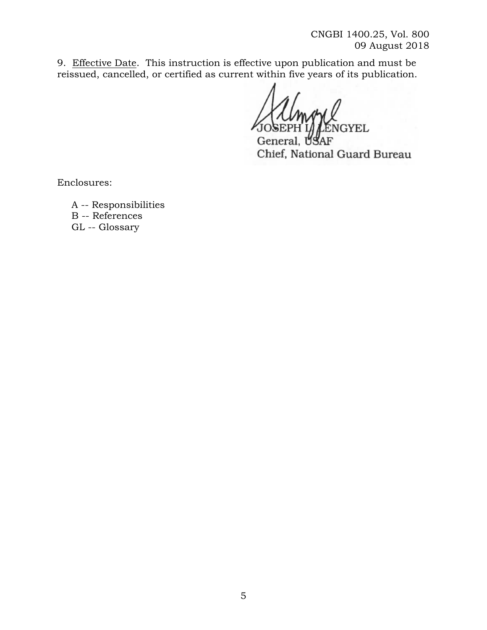9. Effective Date. This instruction is effective upon publication and must be reissued, cancelled, or certified as current within five years of its publication.

**NGYEL** 

Genera AF Chief, National Guard Bureau

Enclosures:

A -- Responsibilities B -- References GL -- Glossary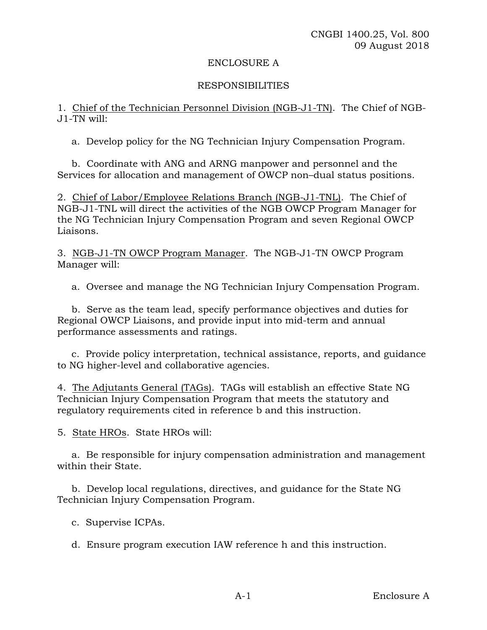#### ENCLOSURE A

# RESPONSIBILITIES

1. Chief of the Technician Personnel Division (NGB-J1-TN). The Chief of NGB-J1-TN will:

a. Develop policy for the NG Technician Injury Compensation Program.

b. Coordinate with ANG and ARNG manpower and personnel and the Services for allocation and management of OWCP non–dual status positions.

2. Chief of Labor/Employee Relations Branch (NGB-J1-TNL). The Chief of NGB-J1-TNL will direct the activities of the NGB OWCP Program Manager for the NG Technician Injury Compensation Program and seven Regional OWCP Liaisons.

3. NGB-J1-TN OWCP Program Manager. The NGB-J1-TN OWCP Program Manager will:

a. Oversee and manage the NG Technician Injury Compensation Program.

b. Serve as the team lead, specify performance objectives and duties for Regional OWCP Liaisons, and provide input into mid-term and annual performance assessments and ratings.

c. Provide policy interpretation, technical assistance, reports, and guidance to NG higher-level and collaborative agencies.

4. The Adjutants General (TAGs). TAGs will establish an effective State NG Technician Injury Compensation Program that meets the statutory and regulatory requirements cited in reference b and this instruction.

5. State HROs. State HROs will:

a. Be responsible for injury compensation administration and management within their State.

b. Develop local regulations, directives, and guidance for the State NG Technician Injury Compensation Program.

c. Supervise ICPAs.

d. Ensure program execution IAW reference h and this instruction.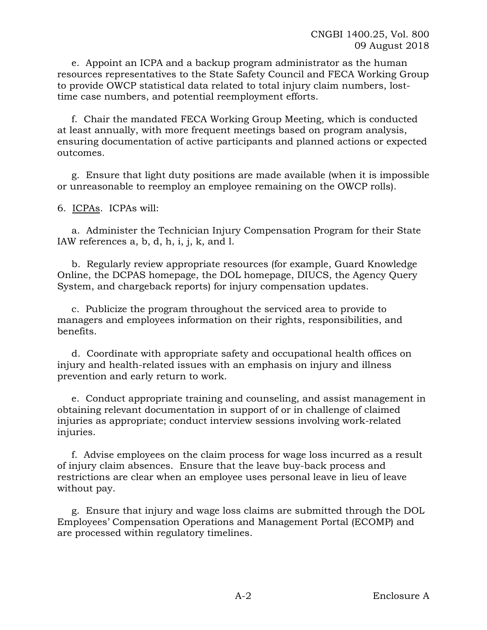e. Appoint an ICPA and a backup program administrator as the human resources representatives to the State Safety Council and FECA Working Group to provide OWCP statistical data related to total injury claim numbers, losttime case numbers, and potential reemployment efforts.

f. Chair the mandated FECA Working Group Meeting, which is conducted at least annually, with more frequent meetings based on program analysis, ensuring documentation of active participants and planned actions or expected outcomes.

g. Ensure that light duty positions are made available (when it is impossible or unreasonable to reemploy an employee remaining on the OWCP rolls).

6. ICPAs. ICPAs will:

a. Administer the Technician Injury Compensation Program for their State IAW references a, b, d, h, i, j, k, and l.

b. Regularly review appropriate resources (for example, Guard Knowledge Online, the DCPAS homepage, the DOL homepage, DIUCS, the Agency Query System, and chargeback reports) for injury compensation updates.

c. Publicize the program throughout the serviced area to provide to managers and employees information on their rights, responsibilities, and benefits.

d. Coordinate with appropriate safety and occupational health offices on injury and health-related issues with an emphasis on injury and illness prevention and early return to work.

e. Conduct appropriate training and counseling, and assist management in obtaining relevant documentation in support of or in challenge of claimed injuries as appropriate; conduct interview sessions involving work-related injuries.

f. Advise employees on the claim process for wage loss incurred as a result of injury claim absences. Ensure that the leave buy-back process and restrictions are clear when an employee uses personal leave in lieu of leave without pay.

g. Ensure that injury and wage loss claims are submitted through the DOL Employees' Compensation Operations and Management Portal (ECOMP) and are processed within regulatory timelines.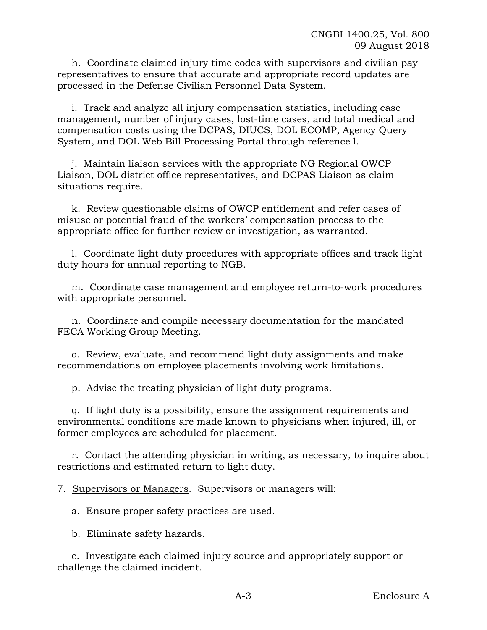h. Coordinate claimed injury time codes with supervisors and civilian pay representatives to ensure that accurate and appropriate record updates are processed in the Defense Civilian Personnel Data System.

i. Track and analyze all injury compensation statistics, including case management, number of injury cases, lost-time cases, and total medical and compensation costs using the DCPAS, DIUCS, DOL ECOMP, Agency Query System, and DOL Web Bill Processing Portal through reference l.

j. Maintain liaison services with the appropriate NG Regional OWCP Liaison, DOL district office representatives, and DCPAS Liaison as claim situations require.

k. Review questionable claims of OWCP entitlement and refer cases of misuse or potential fraud of the workers' compensation process to the appropriate office for further review or investigation, as warranted.

l. Coordinate light duty procedures with appropriate offices and track light duty hours for annual reporting to NGB.

m. Coordinate case management and employee return-to-work procedures with appropriate personnel.

n. Coordinate and compile necessary documentation for the mandated FECA Working Group Meeting.

o. Review, evaluate, and recommend light duty assignments and make recommendations on employee placements involving work limitations.

p. Advise the treating physician of light duty programs.

q. If light duty is a possibility, ensure the assignment requirements and environmental conditions are made known to physicians when injured, ill, or former employees are scheduled for placement.

r. Contact the attending physician in writing, as necessary, to inquire about restrictions and estimated return to light duty.

7. Supervisors or Managers. Supervisors or managers will:

a. Ensure proper safety practices are used.

b. Eliminate safety hazards.

c. Investigate each claimed injury source and appropriately support or challenge the claimed incident.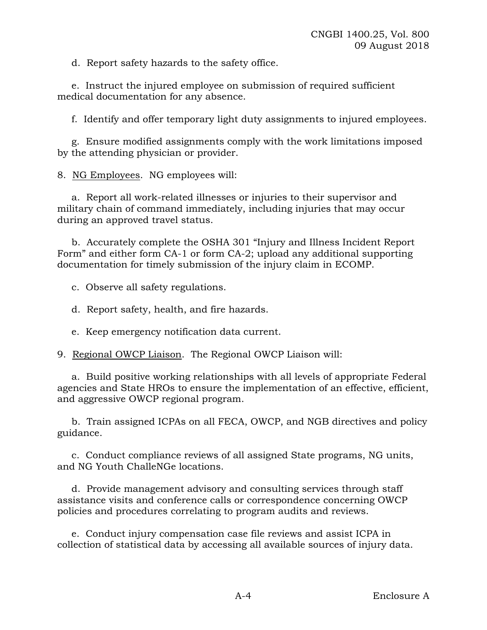d. Report safety hazards to the safety office.

e. Instruct the injured employee on submission of required sufficient medical documentation for any absence.

f. Identify and offer temporary light duty assignments to injured employees.

g. Ensure modified assignments comply with the work limitations imposed by the attending physician or provider.

8. NG Employees. NG employees will:

a. Report all work-related illnesses or injuries to their supervisor and military chain of command immediately, including injuries that may occur during an approved travel status.

b. Accurately complete the OSHA 301 "Injury and Illness Incident Report Form" and either form CA-1 or form CA-2; upload any additional supporting documentation for timely submission of the injury claim in ECOMP.

c. Observe all safety regulations.

d. Report safety, health, and fire hazards.

e. Keep emergency notification data current.

9. Regional OWCP Liaison. The Regional OWCP Liaison will:

a. Build positive working relationships with all levels of appropriate Federal agencies and State HROs to ensure the implementation of an effective, efficient, and aggressive OWCP regional program.

b. Train assigned ICPAs on all FECA, OWCP, and NGB directives and policy guidance.

c. Conduct compliance reviews of all assigned State programs, NG units, and NG Youth ChalleNGe locations.

d. Provide management advisory and consulting services through staff assistance visits and conference calls or correspondence concerning OWCP policies and procedures correlating to program audits and reviews.

e. Conduct injury compensation case file reviews and assist ICPA in collection of statistical data by accessing all available sources of injury data.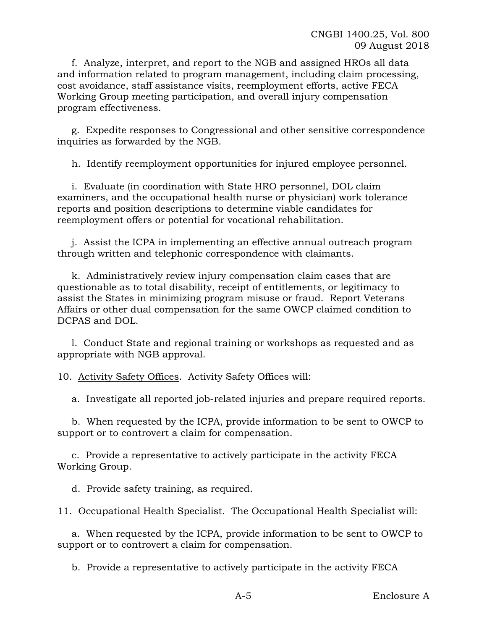f. Analyze, interpret, and report to the NGB and assigned HROs all data and information related to program management, including claim processing, cost avoidance, staff assistance visits, reemployment efforts, active FECA Working Group meeting participation, and overall injury compensation program effectiveness.

g. Expedite responses to Congressional and other sensitive correspondence inquiries as forwarded by the NGB.

h. Identify reemployment opportunities for injured employee personnel.

i. Evaluate (in coordination with State HRO personnel, DOL claim examiners, and the occupational health nurse or physician) work tolerance reports and position descriptions to determine viable candidates for reemployment offers or potential for vocational rehabilitation.

j. Assist the ICPA in implementing an effective annual outreach program through written and telephonic correspondence with claimants.

k. Administratively review injury compensation claim cases that are questionable as to total disability, receipt of entitlements, or legitimacy to assist the States in minimizing program misuse or fraud. Report Veterans Affairs or other dual compensation for the same OWCP claimed condition to DCPAS and DOL.

l. Conduct State and regional training or workshops as requested and as appropriate with NGB approval.

10. Activity Safety Offices. Activity Safety Offices will:

a. Investigate all reported job-related injuries and prepare required reports.

b. When requested by the ICPA, provide information to be sent to OWCP to support or to controvert a claim for compensation.

c. Provide a representative to actively participate in the activity FECA Working Group.

d. Provide safety training, as required.

11. Occupational Health Specialist. The Occupational Health Specialist will:

a. When requested by the ICPA, provide information to be sent to OWCP to support or to controvert a claim for compensation.

b. Provide a representative to actively participate in the activity FECA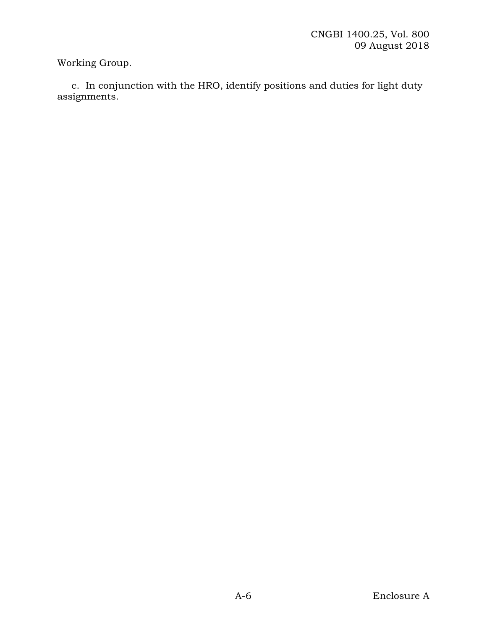Working Group.

c. In conjunction with the HRO, identify positions and duties for light duty assignments.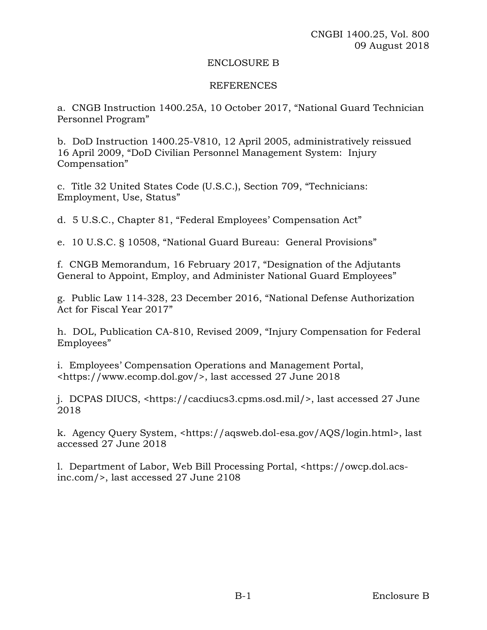#### ENCLOSURE B

# REFERENCES

a. CNGB Instruction 1400.25A, 10 October 2017, "National Guard Technician Personnel Program"

b. DoD Instruction 1400.25-V810, 12 April 2005, administratively reissued 16 April 2009, "DoD Civilian Personnel Management System: Injury Compensation"

c. Title 32 United States Code (U.S.C.), Section 709, "Technicians: Employment, Use, Status"

d. 5 U.S.C., Chapter 81, "Federal Employees' Compensation Act"

e. 10 U.S.C. § 10508, "National Guard Bureau: General Provisions"

f. CNGB Memorandum, 16 February 2017, "Designation of the Adjutants General to Appoint, Employ, and Administer National Guard Employees"

g. Public Law 114-328, 23 December 2016, "National Defense Authorization Act for Fiscal Year 2017"

h. DOL, Publication CA-810, Revised 2009, "Injury Compensation for Federal Employees"

i. Employees' Compensation Operations and Management Portal, <https://www.ecomp.dol.gov/>, last accessed 27 June 2018

j. DCPAS DIUCS, <https://cacdiucs3.cpms.osd.mil/>, last accessed 27 June 2018

k. Agency Query System, <https://aqsweb.dol-esa.gov/AQS/login.html>, last accessed 27 June 2018

l. Department of Labor, Web Bill Processing Portal, <https://owcp.dol.acsinc.com/>, last accessed 27 June 2108